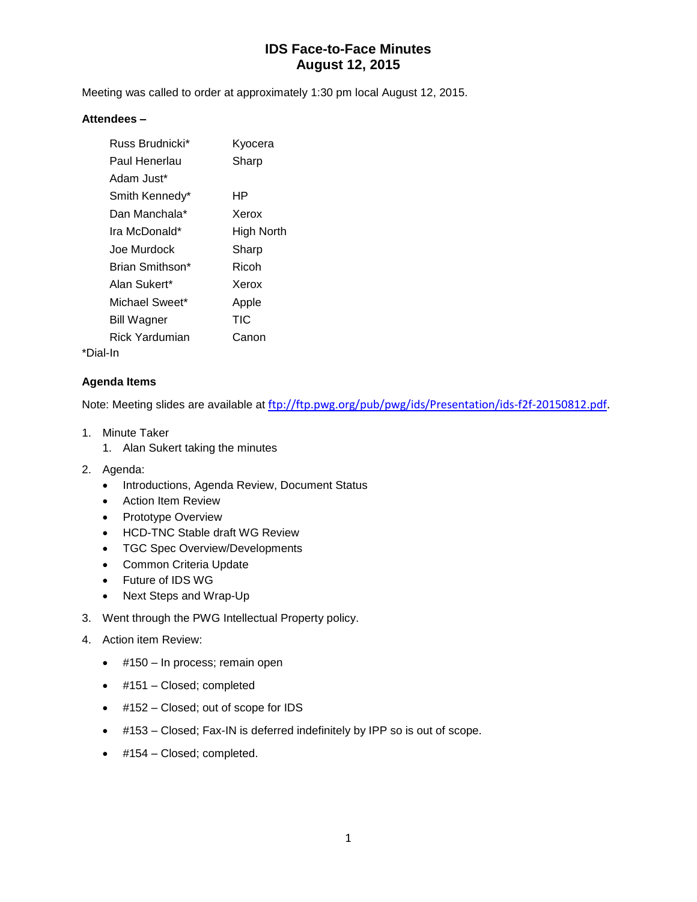# **IDS Face-to-Face Minutes August 12, 2015**

Meeting was called to order at approximately 1:30 pm local August 12, 2015.

### **Attendees –**

| Russ Brudnicki* | Kyocera    |
|-----------------|------------|
| Paul Henerlau   | Sharp      |
| Adam Just*      |            |
| Smith Kennedy*  | ΗP         |
| Dan Manchala*   | Xerox      |
| Ira McDonald*   | High North |
| Joe Murdock     | Sharp      |
| Brian Smithson* | Ricoh      |
| Alan Sukert*    | Xerox      |
| Michael Sweet*  | Apple      |
| Bill Wagner     | TIC        |
| Rick Yardumian  | Canon      |
|                 |            |

\*Dial-In

### **Agenda Items**

Note: Meeting slides are available at [ftp://ftp.pwg.org/pub/pwg/ids/Presentation/ids-f2f-20150812.pdf.](ftp://ftp.pwg.org/pub/pwg/ids/Presentation/ids-f2f-20150812.pdf)

- 1. Minute Taker
	- 1. Alan Sukert taking the minutes
- 2. Agenda:
	- Introductions, Agenda Review, Document Status
	- **•** Action Item Review
	- Prototype Overview
	- HCD-TNC Stable draft WG Review
	- TGC Spec Overview/Developments
	- Common Criteria Update
	- Future of IDS WG
	- Next Steps and Wrap-Up
- 3. Went through the PWG Intellectual Property policy.
- 4. Action item Review:
	- $\bullet$  #150 In process; remain open
	- #151 Closed; completed
	- #152 Closed; out of scope for IDS
	- #153 Closed; Fax-IN is deferred indefinitely by IPP so is out of scope.
	- #154 Closed; completed.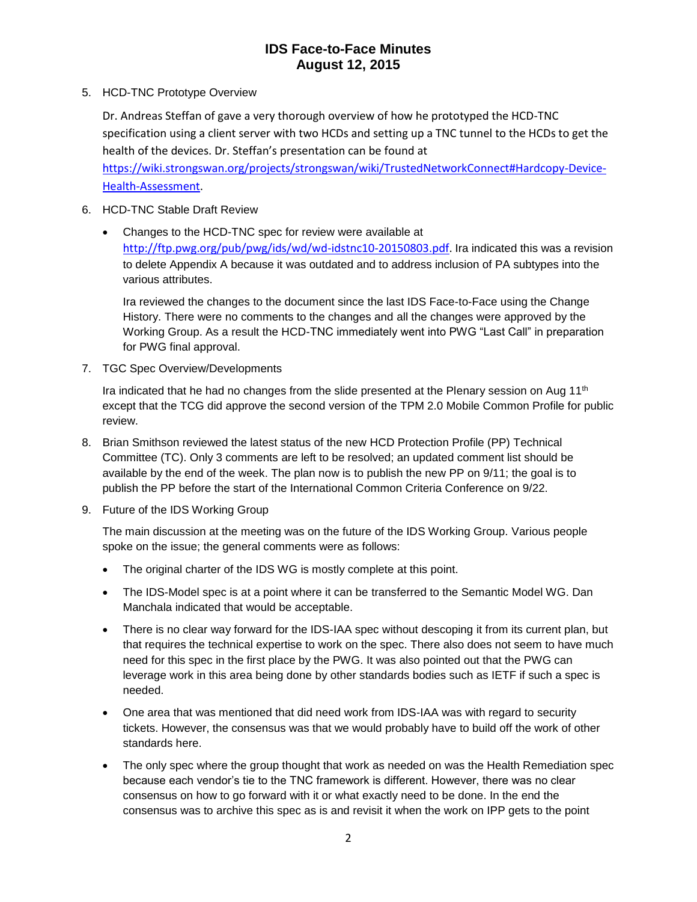## **IDS Face-to-Face Minutes August 12, 2015**

5. HCD-TNC Prototype Overview

Dr. Andreas Steffan of gave a very thorough overview of how he prototyped the HCD-TNC specification using a client server with two HCDs and setting up a TNC tunnel to the HCDs to get the health of the devices. Dr. Steffan's presentation can be found at

[https://wiki.strongswan.org/projects/strongswan/wiki/TrustedNetworkConnect#Hardcopy-Device-](https://wiki.strongswan.org/projects/strongswan/wiki/TrustedNetworkConnect#Hardcopy-Device-Health-Assessment)[Health-Assessment.](https://wiki.strongswan.org/projects/strongswan/wiki/TrustedNetworkConnect#Hardcopy-Device-Health-Assessment)

- 6. HCD-TNC Stable Draft Review
	- Changes to the HCD-TNC spec for review were available at [http://ftp.pwg.org/pub/pwg/ids/wd/wd-idstnc10-20150803.pdf.](http://ftp.pwg.org/pub/pwg/ids/wd/wd-idstnc10-20150803.pdf) Ira indicated this was a revision to delete Appendix A because it was outdated and to address inclusion of PA subtypes into the various attributes.

Ira reviewed the changes to the document since the last IDS Face-to-Face using the Change History. There were no comments to the changes and all the changes were approved by the Working Group. As a result the HCD-TNC immediately went into PWG "Last Call" in preparation for PWG final approval.

7. TGC Spec Overview/Developments

Ira indicated that he had no changes from the slide presented at the Plenary session on Aug  $11<sup>th</sup>$ except that the TCG did approve the second version of the TPM 2.0 Mobile Common Profile for public review.

- 8. Brian Smithson reviewed the latest status of the new HCD Protection Profile (PP) Technical Committee (TC). Only 3 comments are left to be resolved; an updated comment list should be available by the end of the week. The plan now is to publish the new PP on 9/11; the goal is to publish the PP before the start of the International Common Criteria Conference on 9/22.
- 9. Future of the IDS Working Group

The main discussion at the meeting was on the future of the IDS Working Group. Various people spoke on the issue; the general comments were as follows:

- The original charter of the IDS WG is mostly complete at this point.
- The IDS-Model spec is at a point where it can be transferred to the Semantic Model WG. Dan Manchala indicated that would be acceptable.
- There is no clear way forward for the IDS-IAA spec without descoping it from its current plan, but that requires the technical expertise to work on the spec. There also does not seem to have much need for this spec in the first place by the PWG. It was also pointed out that the PWG can leverage work in this area being done by other standards bodies such as IETF if such a spec is needed.
- One area that was mentioned that did need work from IDS-IAA was with regard to security tickets. However, the consensus was that we would probably have to build off the work of other standards here.
- The only spec where the group thought that work as needed on was the Health Remediation spec because each vendor's tie to the TNC framework is different. However, there was no clear consensus on how to go forward with it or what exactly need to be done. In the end the consensus was to archive this spec as is and revisit it when the work on IPP gets to the point